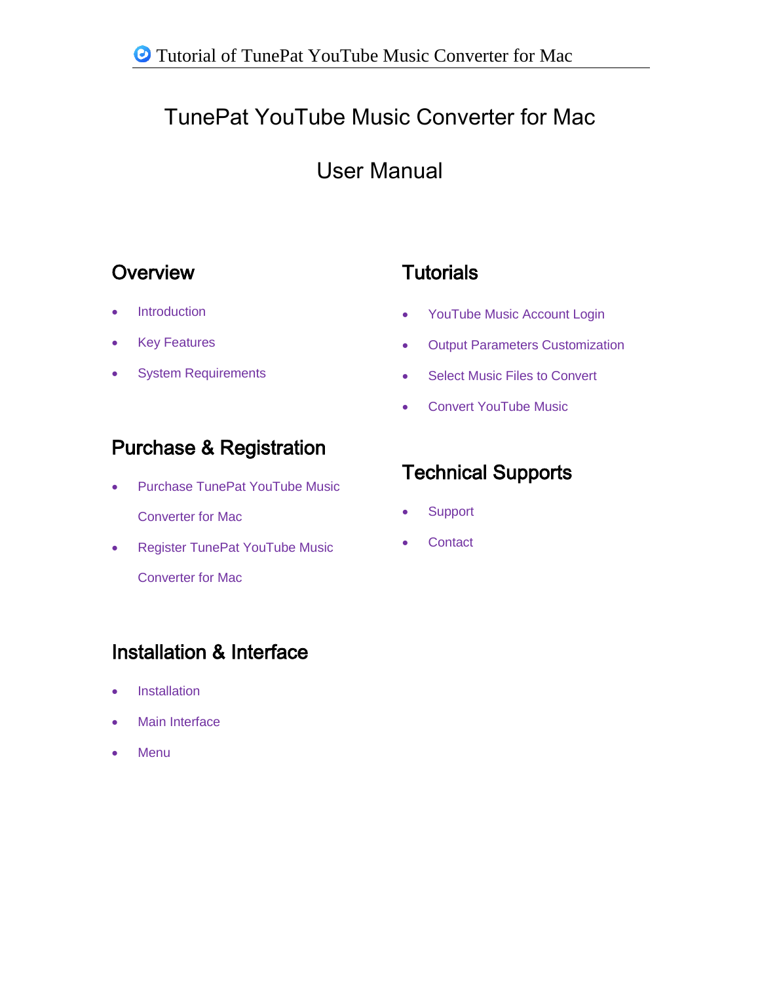# TunePat YouTube Music Converter for Mac

# User Manual

# **Overview**

- Introduction
- Key Features
- System Requirements

# [Purchase & Registration](#page-2-0)

- Purchase TunePat YouTube Music Converter for Mac
- Register TunePat YouTube Music

Converter for Mac

## [Installation & Interface](#page-5-0)

- **•** Installation
- Main Interface
- Menu

# **[Tutorials](#page-7-0)**

- YouTube Music Account Login
- Output Parameters Customization
- Select Music Files to Convert
- Convert YouTube Music

# [Technical Supports](#page-11-0)

- Support
- Contact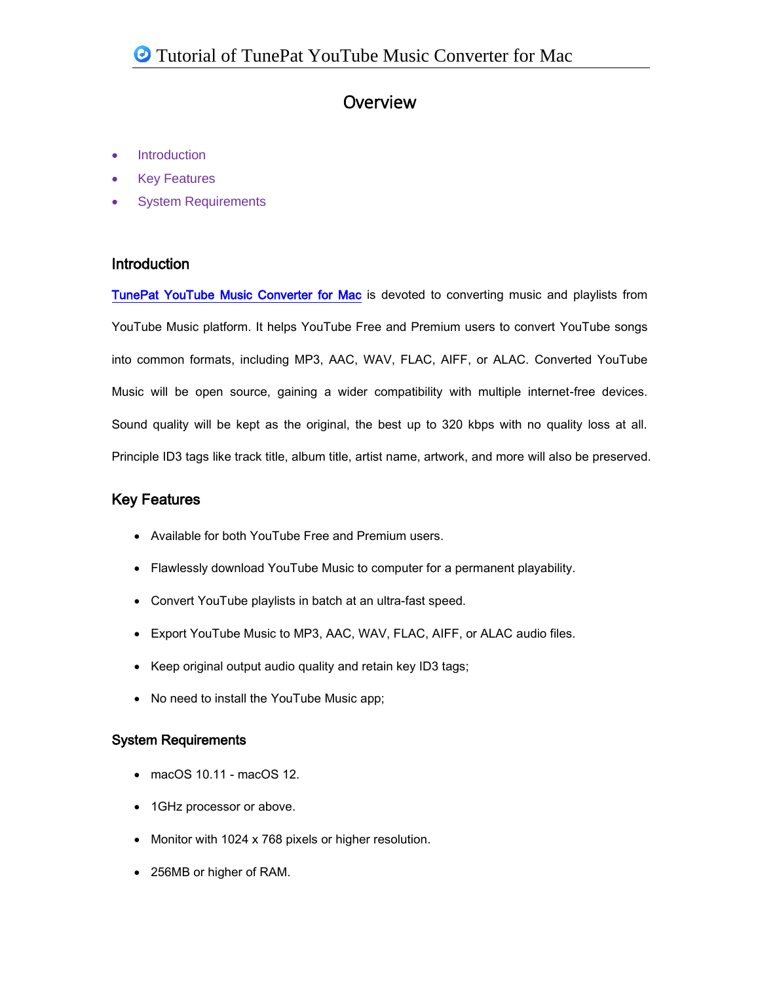## **Overview**

- <span id="page-1-0"></span>**Introduction**
- Key Features
- System Requirements

#### Introduction

[TunePat YouTube Music Converter for Mac](https://www.tunepat.com/youtube-music-converter-mac/online-help.html) is devoted to converting music and playlists from YouTube Music platform. It helps YouTube Free and Premium users to convert YouTube songs into common formats, including MP3, AAC, WAV, FLAC, AIFF, or ALAC. Converted YouTube Music will be open source, gaining a wider compatibility with multiple internet-free devices. Sound quality will be kept as the original, the best up to 320 kbps with no quality loss at all. Principle ID3 tags like track title, album title, artist name, artwork, and more will also be preserved.

### Key Features

- Available for both YouTube Free and Premium users.
- Flawlessly download YouTube Music to computer for a permanent playability.
- Convert YouTube playlists in batch at an ultra-fast speed.
- Export YouTube Music to MP3, AAC, WAV, FLAC, AIFF, or ALAC audio files.
- Keep original output audio quality and retain key ID3 tags;
- No need to install the YouTube Music app;

#### System Requirements

- macOS 10.11 macOS 12.
- 1GHz processor or above.
- Monitor with 1024 x 768 pixels or higher resolution.
- 256MB or higher of RAM.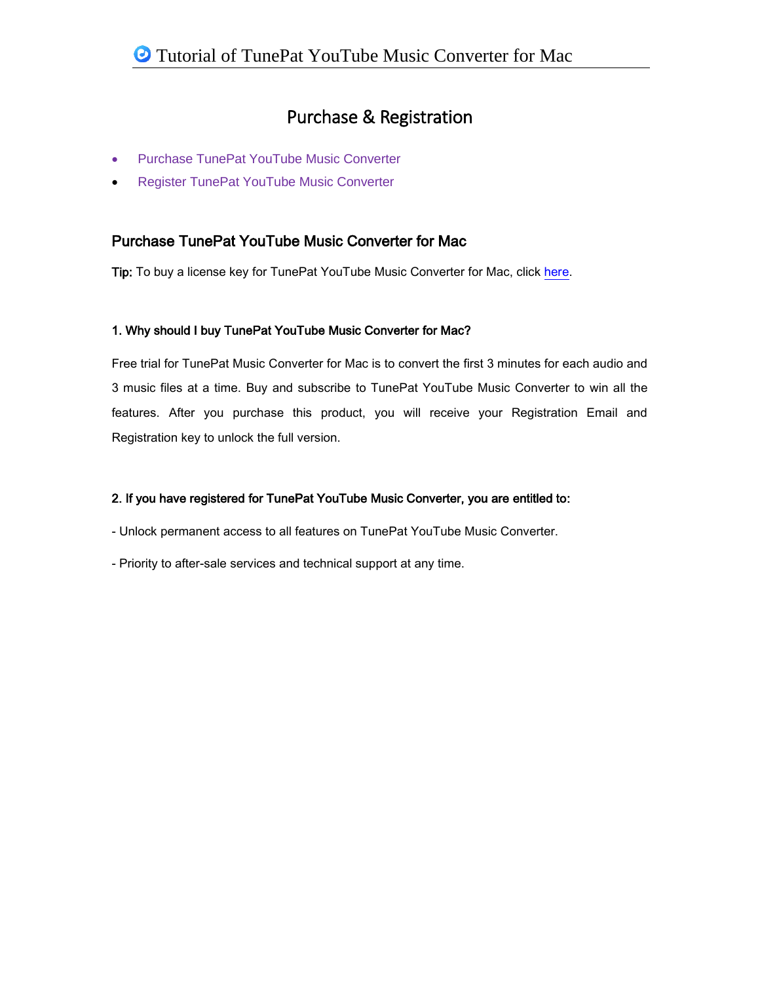## Purchase & Registration

- <span id="page-2-0"></span>**•** Purchase TunePat YouTube Music Converter
- Register TunePat YouTube Music Converter

### Purchase TunePat YouTube Music Converter for Mac

Tip: To buy a license key for TunePat YouTube Music Converter for Mac, click [here.](https://www.tunepat.com/youtube-music-converter-mac/buynow.html)

#### 1. Why should I buy TunePat YouTube Music Converter for Mac?

Free trial for TunePat Music Converter for Mac is to convert the first 3 minutes for each audio and 3 music files at a time. Buy and subscribe to TunePat YouTube Music Converter to win all the features. After you purchase this product, you will receive your Registration Email and Registration key to unlock the full version.

#### 2. If you have registered for TunePat YouTube Music Converter, you are entitled to:

- Unlock permanent access to all features on TunePat YouTube Music Converter.
- Priority to after-sale services and technical support at any time.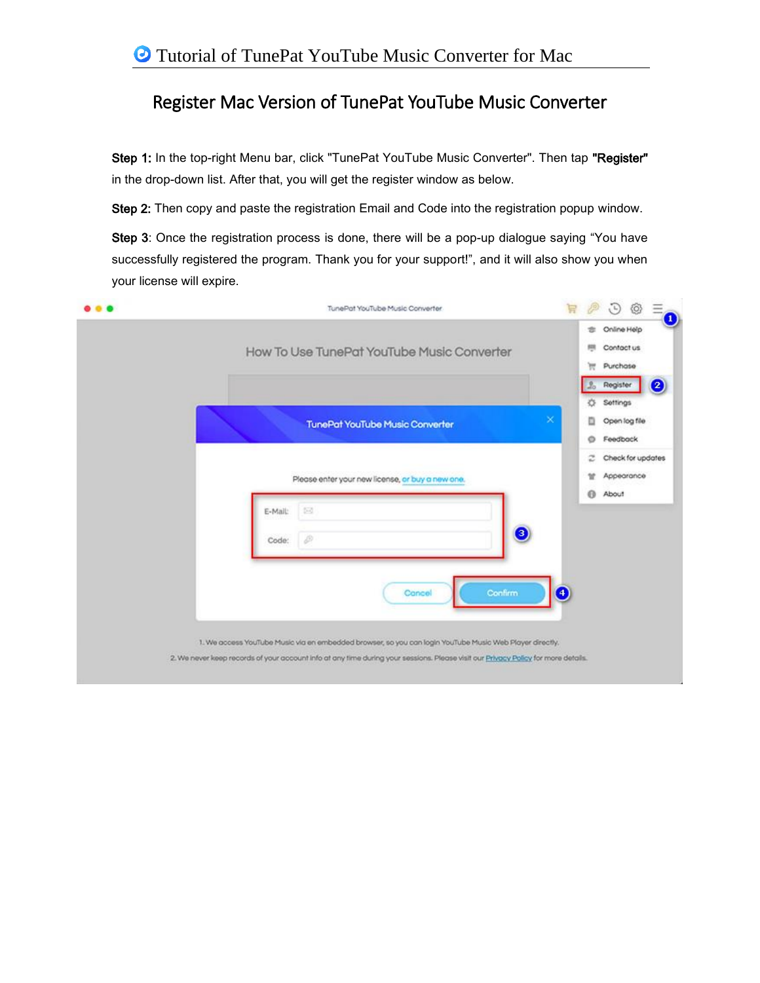## Register Mac Version of TunePat YouTube Music Converter

Step 1: In the top-right Menu bar, click "TunePat YouTube Music Converter". Then tap "Register" in the drop-down list. After that, you will get the register window as below.

Step 2: Then copy and paste the registration Email and Code into the registration popup window.

Step 3: Once the registration process is done, there will be a pop-up dialogue saying "You have successfully registered the program. Thank you for your support!", and it will also show you when your license will expire.

| 旨<br>TunePat YouTube Music Converter                                                                                                                                                                                                         | $\Omega$<br>€<br>$\mathbf 0$                                     |
|----------------------------------------------------------------------------------------------------------------------------------------------------------------------------------------------------------------------------------------------|------------------------------------------------------------------|
| How To Use TunePat YouTube Music Converter                                                                                                                                                                                                   | Online Help<br>÷<br>Contact us<br>Purchase<br>₩                  |
| ×<br><b>TunePat YouTube Music Converter</b>                                                                                                                                                                                                  | ◙<br>Register<br>ö<br>Settings<br>Open log file<br>Feedback<br>o |
| Please enter your new license, or buy a new one.                                                                                                                                                                                             | Check for updates<br>z<br>Appearance<br>u<br>$\Theta$<br>About   |
| 図<br>E-Mall:<br>$\bullet$<br>D<br>Code:                                                                                                                                                                                                      |                                                                  |
| $\bullet$<br>Confirm<br>Cancel                                                                                                                                                                                                               |                                                                  |
| 1. We access YouTube Music via en embedded browser, so you can login YouTube Music Web Player directly.<br>2. We never keep records of your account info at any time during your sessions. Please visit our Privacy Policy for more details. |                                                                  |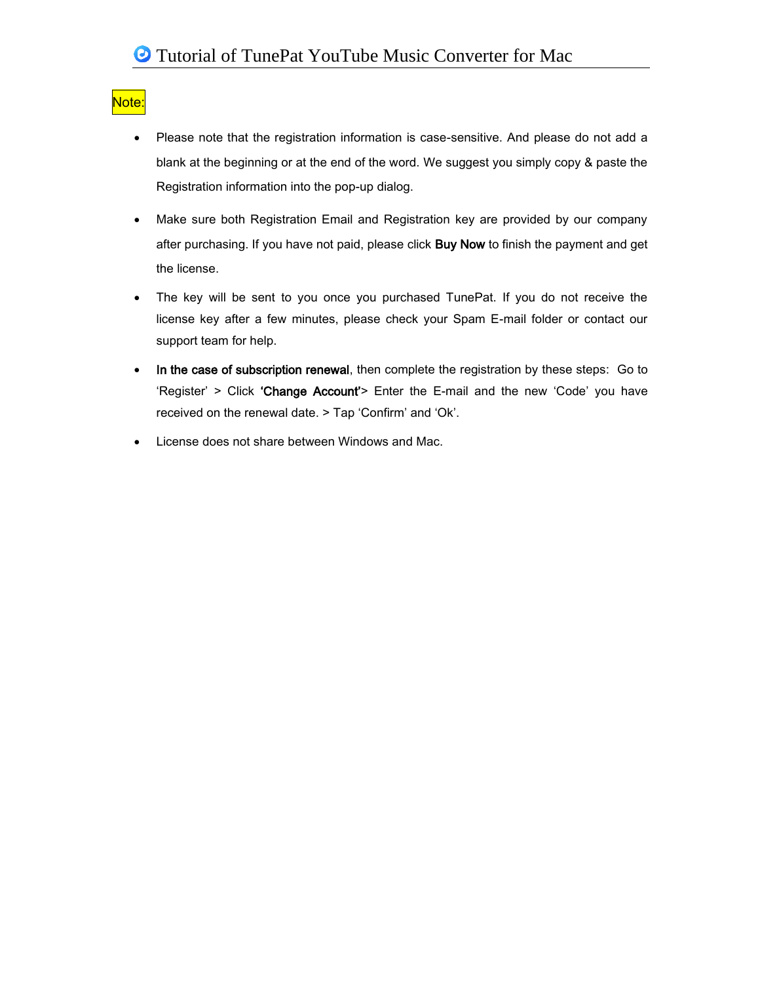## Note:

- Please note that the registration information is case-sensitive. And please do not add a blank at the beginning or at the end of the word. We suggest you simply copy & paste the Registration information into the pop-up dialog.
- Make sure both Registration Email and Registration key are provided by our company after purchasing. If you have not paid, please click Buy Now to finish the payment and get the license.
- The key will be sent to you once you purchased TunePat. If you do not receive the license key after a few minutes, please check your Spam E-mail folder or contact our support team for help.
- In the case of subscription renewal, then complete the registration by these steps: Go to 'Register' > Click 'Change Account'> Enter the E-mail and the new 'Code' you have received on the renewal date. > Tap 'Confirm' and 'Ok'.
- License does not share between Windows and Mac.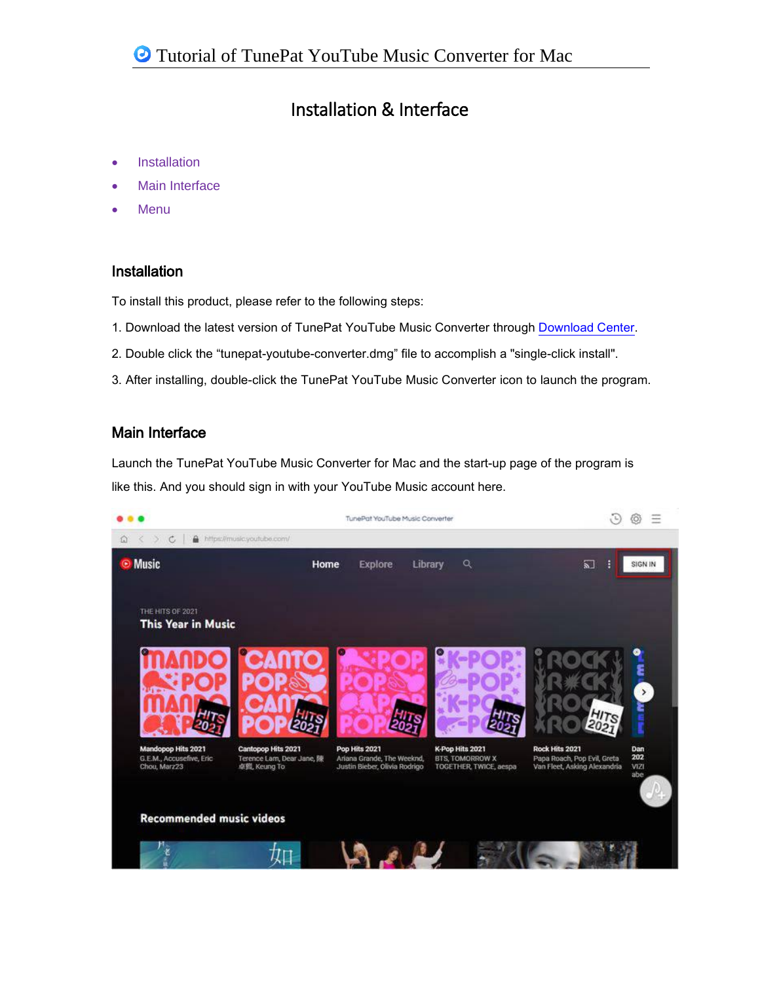## Installation & Interface

- <span id="page-5-0"></span>**•** Installation
- Main Interface
- Menu

#### Installation

To install this product, please refer to the following steps:

- 1. Download the latest version of TunePat YouTube Music Converter through [Download Center.](https://www.tunepat.com/download-center.html)
- 2. Double click the "tunepat-youtube-converter.dmg" file to accomplish a "single-click install".
- 3. After installing, double-click the TunePat YouTube Music Converter icon to launch the program.

### Main Interface

Launch the TunePat YouTube Music Converter for Mac and the start-up page of the program is like this. And you should sign in with your YouTube Music account here.

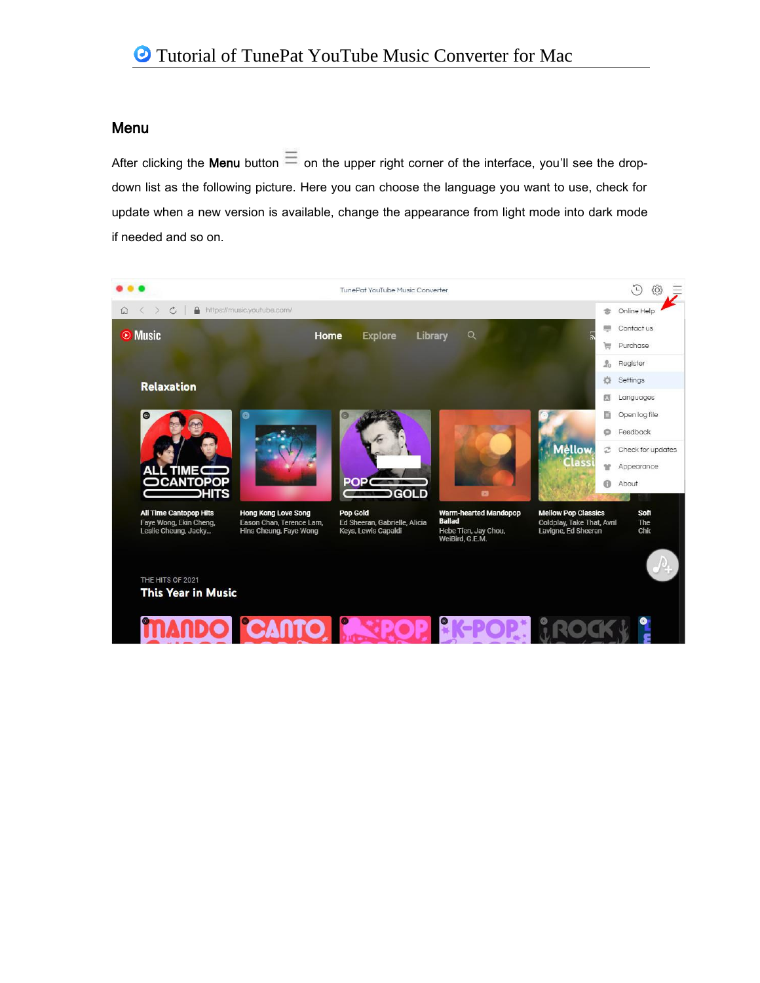### Menu

After clicking the Menu button  $\equiv$  on the upper right corner of the interface, you'll see the dropdown list as the following picture. Here you can choose the language you want to use, check for update when a new version is available, change the appearance from light mode into dark mode if needed and so on.

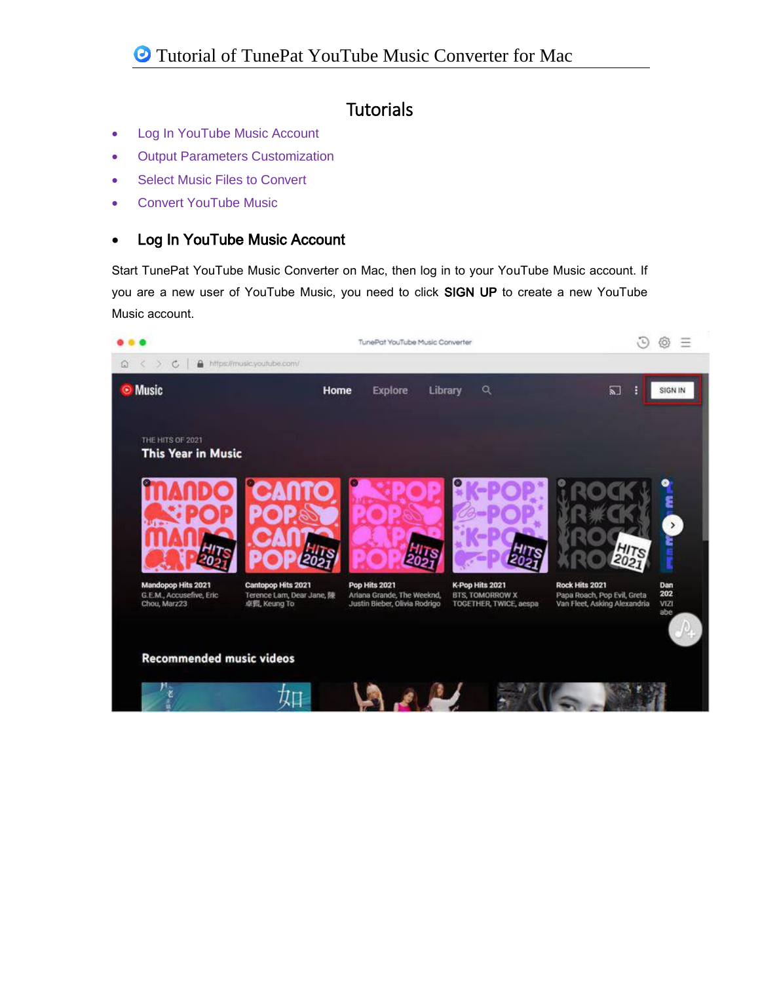## **Tutorials**

- <span id="page-7-0"></span>• Log In YouTube Music Account
- Output Parameters Customization
- Select Music Files to Convert
- Convert YouTube Music

### Log In YouTube Music Account

Start TunePat YouTube Music Converter on Mac, then log in to your YouTube Music account. If you are a new user of YouTube Music, you need to click SIGN UP to create a new YouTube Music account.

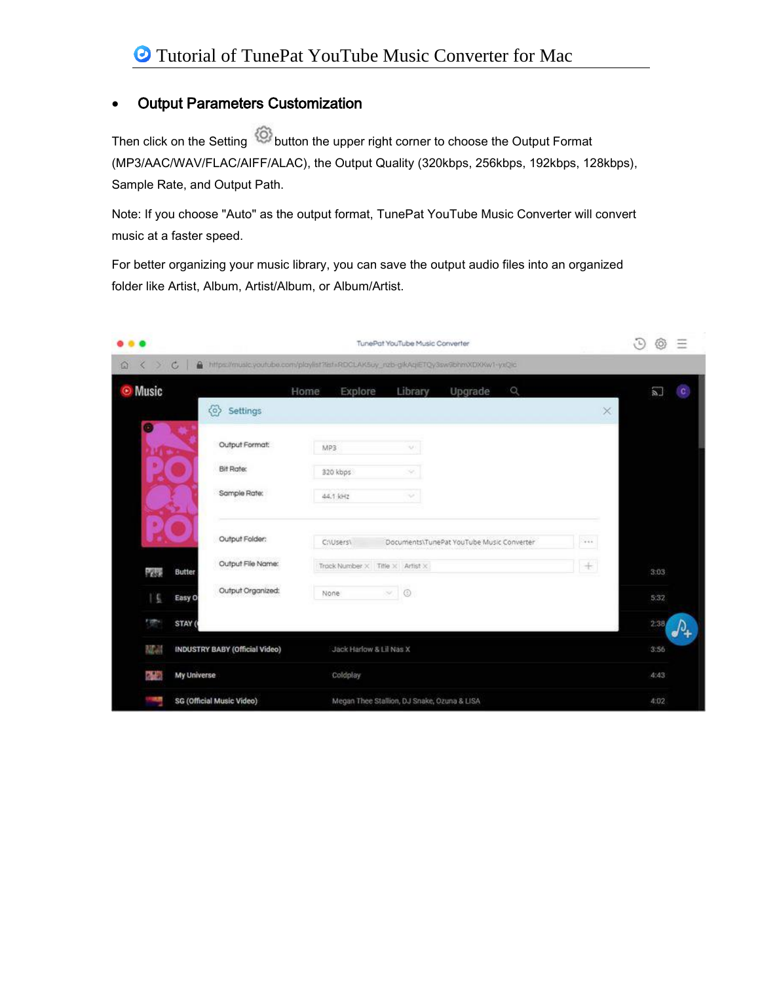### Output Parameters Customization

Then click on the Setting **C** button the upper right corner to choose the Output Format (MP3/AAC/WAV/FLAC/AIFF/ALAC), the Output Quality (320kbps, 256kbps, 192kbps, 128kbps), Sample Rate, and Output Path.

Note: If you choose "Auto" as the output format, TunePat YouTube Music Converter will convert music at a faster speed.

For better organizing your music library, you can save the output audio files into an organized folder like Artist, Album, Artist/Album, or Album/Artist.

|                                 |                                    | TunePat YouTube Music Converter                                                      | a<br>Q<br>Library<br>$\mathbf{c}$<br>Upgrade<br>詞<br>$\times$<br>v.<br>×.<br>v.<br>$7 + 1$<br>Documents\TunePat YouTube Music Converter<br>$+$<br>3:03<br>$\circledcirc$<br>×.<br>5:32<br>2:38 |      |
|---------------------------------|------------------------------------|--------------------------------------------------------------------------------------|------------------------------------------------------------------------------------------------------------------------------------------------------------------------------------------------|------|
| $\mathfrak{C}$<br>$\Omega$<br>× | A                                  | https://music.youtube.com/playlist?list=RDCLAK5uy_rzb-gikAqiETQy3sw9bhmXDXKw1-yxQic- |                                                                                                                                                                                                |      |
| <b>Music</b><br>⋒               | Settings<br>상                      | Explore<br>Home                                                                      |                                                                                                                                                                                                |      |
| ø                               | Output Format:<br><b>Bit Rate:</b> | MP3<br>320 kbps                                                                      |                                                                                                                                                                                                |      |
|                                 | Sample Rate:                       | 44.1 kHz                                                                             |                                                                                                                                                                                                |      |
|                                 | Output Folder:                     | C:\Users\                                                                            |                                                                                                                                                                                                |      |
| 27.81                           | Output File Name:<br>Butter        | Track Number X Title X Artist X                                                      |                                                                                                                                                                                                |      |
| -5                              | Output Organized:<br>Easy O        | None                                                                                 |                                                                                                                                                                                                |      |
| é.                              | STAY (                             |                                                                                      |                                                                                                                                                                                                |      |
| Me                              | INDUSTRY BABY (Official Video)     | Jack Harlow & Lil Nas X                                                              |                                                                                                                                                                                                | 3:56 |
| <b>CALC</b>                     | My Universe                        | Coldplay                                                                             |                                                                                                                                                                                                | 4:43 |
| -48                             | SG (Official Music Video)          | Megan Thee Stallion, DJ Snake, Ozuna & LISA                                          |                                                                                                                                                                                                | 4:02 |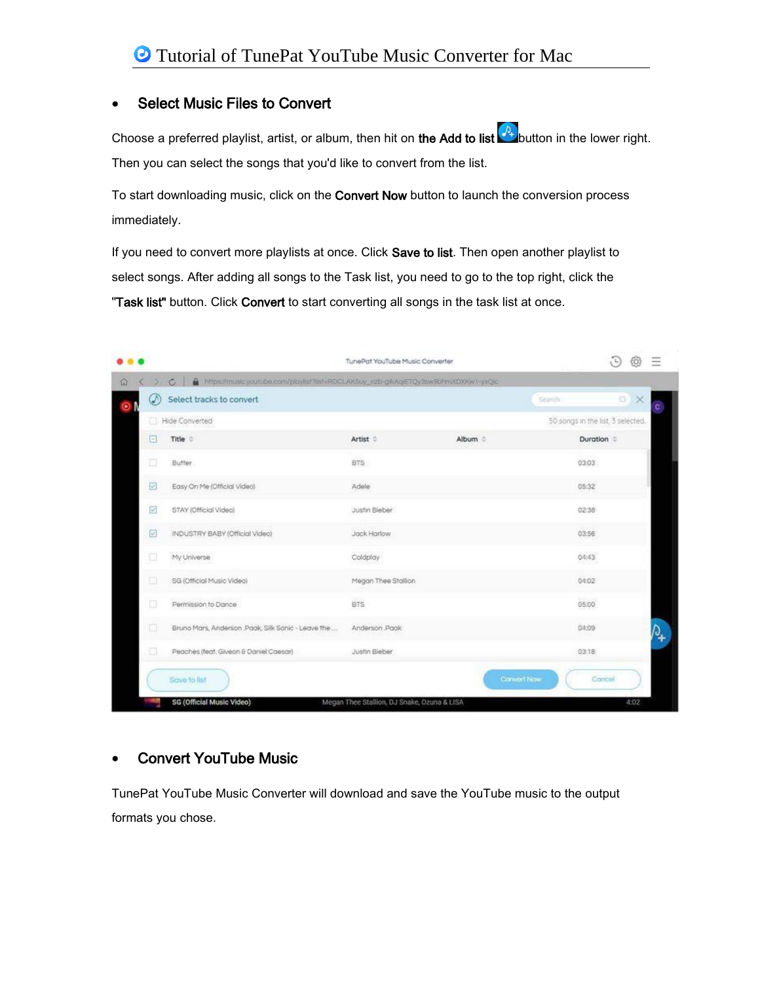## • Select Music Files to Convert

Choose a preferred playlist, artist, or album, then hit on the Add to list  $\mathbb{P}$  button in the lower right. Then you can select the songs that you'd like to convert from the list.

To start downloading music, click on the Convert Now button to launch the conversion process immediately.

If you need to convert more playlists at once. Click Save to list. Then open another playlist to select songs. After adding all songs to the Task list, you need to go to the top right, click the "Task list" button. Click Convert to start converting all songs in the task list at once.

|               |            |                                                                                                   | TunePat YouTube Music Converter             |         |                                   | O<br>හි |                        |
|---------------|------------|---------------------------------------------------------------------------------------------------|---------------------------------------------|---------|-----------------------------------|---------|------------------------|
| $\Omega$<br>K | ×          | $\circ$<br>A https://music.youtube.com/playlist?list=RDCLAKSuy_nzb-gikAgiETQy3sw9bhmXDXKw1-yxQic- |                                             |         |                                   |         |                        |
| ⊛             | ⊛          | Select tracks to convert                                                                          |                                             |         | Search                            | Q X     | $\mathbf{c}$           |
|               | a          | Hide Converted                                                                                    |                                             |         | 50 songs in the list, 3 selected. |         |                        |
|               | ⊟          | Title =                                                                                           | Artist =                                    | Album = | Duration =                        |         |                        |
|               | ⊡          | Butter                                                                                            | BTS                                         |         | 03:03                             |         |                        |
|               | 囪          | Easy On Me (Official Video)                                                                       | Adele                                       |         | 05:32                             |         |                        |
|               | $\omega$   | STAY (Official Video)                                                                             | Justin Bieber                               |         | 02:38                             |         |                        |
|               | $\sqrt{2}$ | INDUSTRY BABY (Official Video)                                                                    | Jack Harlow                                 |         | 03:56                             |         |                        |
|               | o          | My Universe                                                                                       | Coldplay                                    |         | 04:43                             |         |                        |
|               | □          | SG (Official Music Video)                                                                         | Megan Thee Stallion                         |         | 04:02                             |         |                        |
|               | o          | Permission to Dance                                                                               | <b>BTS</b>                                  |         | 05:00                             |         |                        |
|               | o          | Bruno Mars, Anderson , Paak, Silk Sonic - Leave the                                               | Anderson Pook                               |         | 04:09                             |         | $\boldsymbol{\varphi}$ |
|               | o          | Peaches (feat, Giveon & Daniel Caesar)                                                            | Justin Bieber                               |         | 03:18                             |         |                        |
|               |            | Save to list                                                                                      |                                             |         | <b>Convert Now</b><br>Cancel      |         |                        |
|               |            | SG (Official Music Video)                                                                         | Megan Thee Stallion, DJ Snake, Ozuna & LISA |         |                                   | 4:02    |                        |

## Convert YouTube Music

TunePat YouTube Music Converter will download and save the YouTube music to the output formats you chose.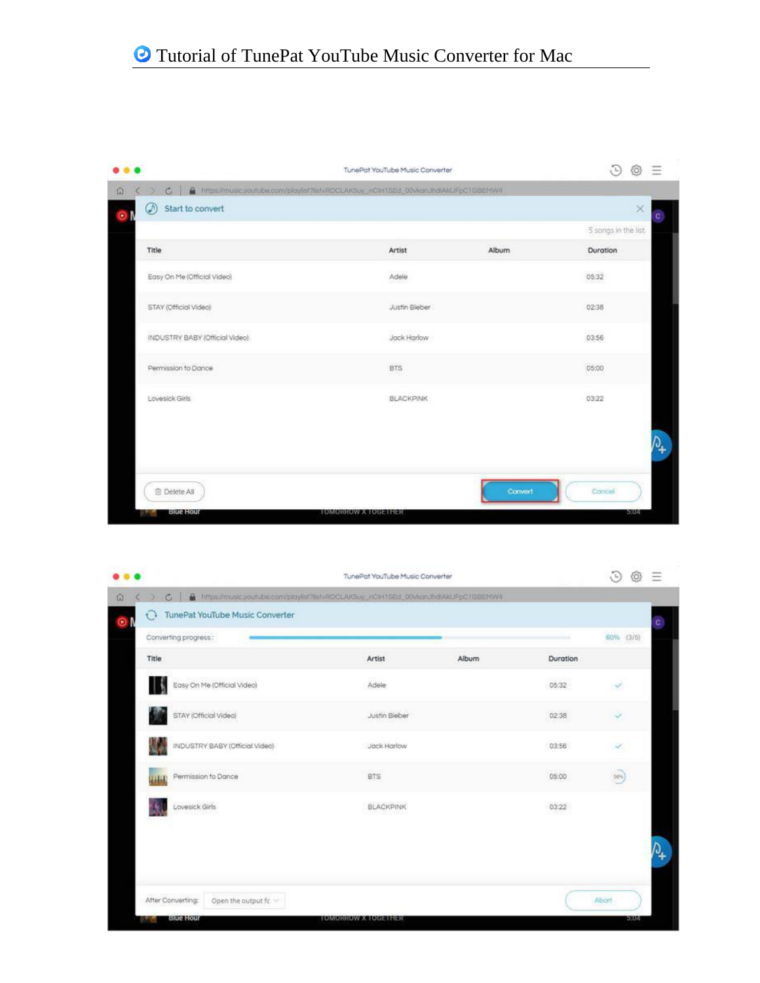## Tutorial of TunePat YouTube Music Converter for Mac

| ⊛<br>Start to convert          |                  |       | $\times$             |
|--------------------------------|------------------|-------|----------------------|
|                                |                  |       | 5 songs in the list. |
| Title                          | Artist           | Album | Duration             |
| Easy On Me (Official Video)    | Adele            |       | 05:32                |
| STAY (Official Video)          | Justin Bieber    |       | 02:38                |
| INDUSTRY BABY (Official Video) | Jack Harlow      |       | 03.56                |
| Permission to Dance            | <b>BTS</b>       |       | 05:00                |
| Lovesick Girls                 | <b>BLACKPINK</b> |       | 03:22                |
|                                |                  |       |                      |
|                                |                  |       |                      |

| $\circ$<br>TunePat YouTube Music Converter |                         |       |                | $\mathbf{c}$ |
|--------------------------------------------|-------------------------|-------|----------------|--------------|
| Converting progress:<br>Title              | Artist                  | Album | Duration       | 60% (3/5)    |
| Easy On Me (Official Video)                | Adele                   |       | 29652<br>05:32 |              |
| STAY (Official Video)                      | Justin Bieber<br>311231 |       | 02:38          |              |
| INDUSTRY BABY (Official Video)             | Jack Harlow             |       | 03:56          | ÷.           |
| Permission to Dance                        | BTS                     |       | 05:00          | 50%          |
| Lovesick Girls                             | <b>BLACKPINK</b>        |       | 03:22          |              |
|                                            |                         |       |                |              |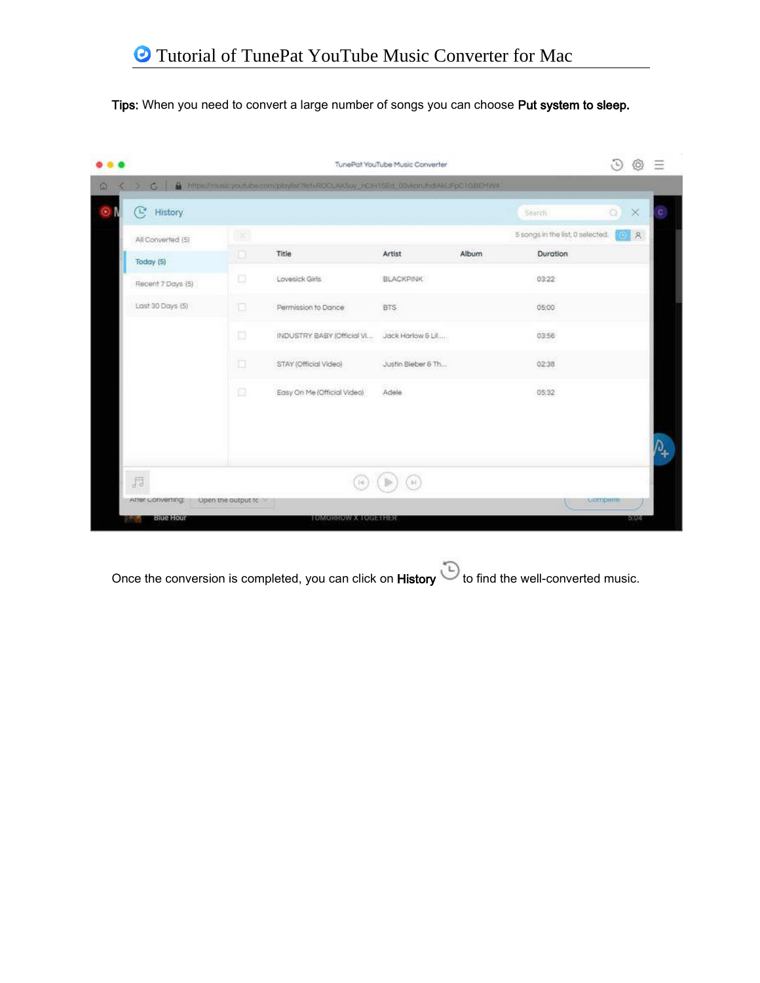Tips: When you need to convert a large number of songs you can choose Put system to sleep.

| C<br>History      |           |                             |                    |       | Search                                | a)<br>$\times$ | c |
|-------------------|-----------|-----------------------------|--------------------|-------|---------------------------------------|----------------|---|
| All Converted (5) | $\propto$ |                             |                    |       | 5 songs in the list, 0 selected. TO A |                |   |
| Today (5)         | o         | Title                       | Artist             | Album | <b>Duration</b>                       |                |   |
| Recent 7 Days (5) | □         | Lovesick Girls              | <b>BLACKPINK</b>   |       | 03:22                                 |                |   |
| Last 30 Days (5)  | o         | Permission to Dance         | <b>BTS</b>         |       | 05:00                                 |                |   |
|                   | o         | INDUSTRY BABY (Official VI  | Jack Harlow & Lil  |       | 03:56                                 |                |   |
|                   | o         | STAY (Official Video)       | Justin Bieber & Th |       | 02:38                                 |                |   |
|                   | 口         | Easy On Me (Official Video) | Adele              |       | 05:32                                 |                |   |
|                   |           |                             |                    |       |                                       |                | Q |
| 月                 |           | $ \vec{q}\rangle$           | (1)                |       |                                       |                |   |

<span id="page-11-0"></span>Once the conversion is completed, you can click on History  $\bigcirc$  to find the well-converted music.